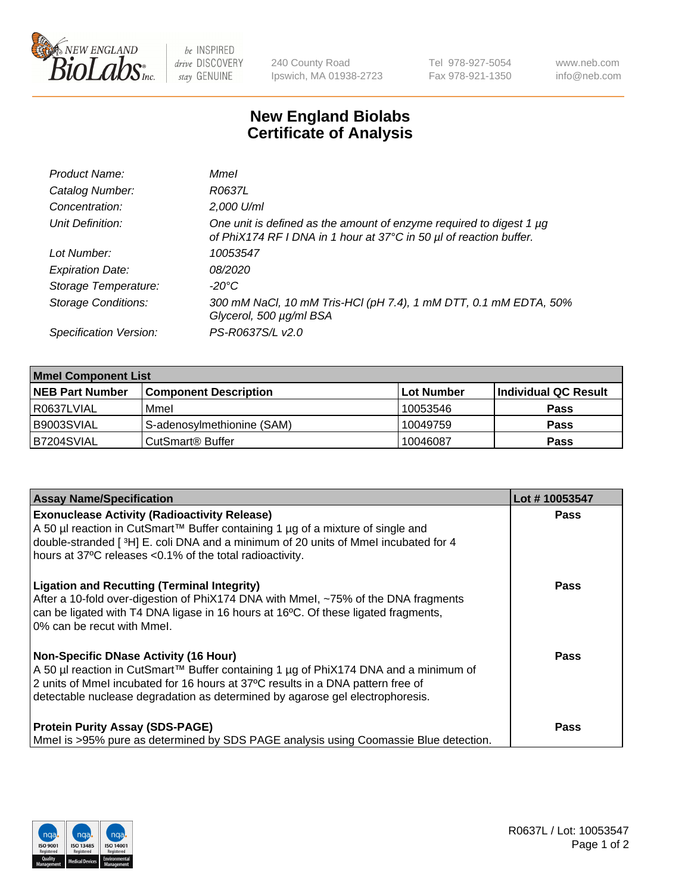

be INSPIRED drive DISCOVERY stay GENUINE

240 County Road Ipswich, MA 01938-2723 Tel 978-927-5054 Fax 978-921-1350

www.neb.com info@neb.com

## **New England Biolabs Certificate of Analysis**

| Product Name:              | Mmel                                                                                                                                      |
|----------------------------|-------------------------------------------------------------------------------------------------------------------------------------------|
| Catalog Number:            | R0637L                                                                                                                                    |
| Concentration:             | 2,000 U/ml                                                                                                                                |
| Unit Definition:           | One unit is defined as the amount of enzyme required to digest 1 µg<br>of PhiX174 RF I DNA in 1 hour at 37°C in 50 µl of reaction buffer. |
| Lot Number:                | 10053547                                                                                                                                  |
| <b>Expiration Date:</b>    | 08/2020                                                                                                                                   |
| Storage Temperature:       | -20°C                                                                                                                                     |
| <b>Storage Conditions:</b> | 300 mM NaCl, 10 mM Tris-HCl (pH 7.4), 1 mM DTT, 0.1 mM EDTA, 50%<br>Glycerol, 500 µg/ml BSA                                               |
| Specification Version:     | PS-R0637S/L v2.0                                                                                                                          |

| <b>Mmel Component List</b> |                                    |                   |                      |  |
|----------------------------|------------------------------------|-------------------|----------------------|--|
| <b>NEB Part Number</b>     | <b>Component Description</b>       | <b>Lot Number</b> | Individual QC Result |  |
| R0637LVIAL                 | Mmel                               | 10053546          | <b>Pass</b>          |  |
| B9003SVIAL                 | S-adenosylmethionine (SAM)         | 10049759          | <b>Pass</b>          |  |
| B7204SVIAL                 | <b>CutSmart<sup>®</sup> Buffer</b> | 10046087          | <b>Pass</b>          |  |

| <b>Assay Name/Specification</b>                                                                                                                                                                                                                                                                          | Lot #10053547 |
|----------------------------------------------------------------------------------------------------------------------------------------------------------------------------------------------------------------------------------------------------------------------------------------------------------|---------------|
| <b>Exonuclease Activity (Radioactivity Release)</b><br>A 50 µl reaction in CutSmart™ Buffer containing 1 µg of a mixture of single and<br>double-stranded [3H] E. coli DNA and a minimum of 20 units of Mmel incubated for 4<br>hours at 37°C releases <0.1% of the total radioactivity.                 | <b>Pass</b>   |
| <b>Ligation and Recutting (Terminal Integrity)</b><br>After a 10-fold over-digestion of PhiX174 DNA with Mmel, ~75% of the DNA fragments<br>can be ligated with T4 DNA ligase in 16 hours at 16°C. Of these ligated fragments,<br>0% can be recut with Mmel.                                             | Pass          |
| <b>Non-Specific DNase Activity (16 Hour)</b><br>A 50 µl reaction in CutSmart™ Buffer containing 1 µg of PhiX174 DNA and a minimum of<br>2 units of Mmel incubated for 16 hours at 37°C results in a DNA pattern free of<br>detectable nuclease degradation as determined by agarose gel electrophoresis. | Pass          |
| <b>Protein Purity Assay (SDS-PAGE)</b><br>Mmel is >95% pure as determined by SDS PAGE analysis using Coomassie Blue detection.                                                                                                                                                                           | Pass          |